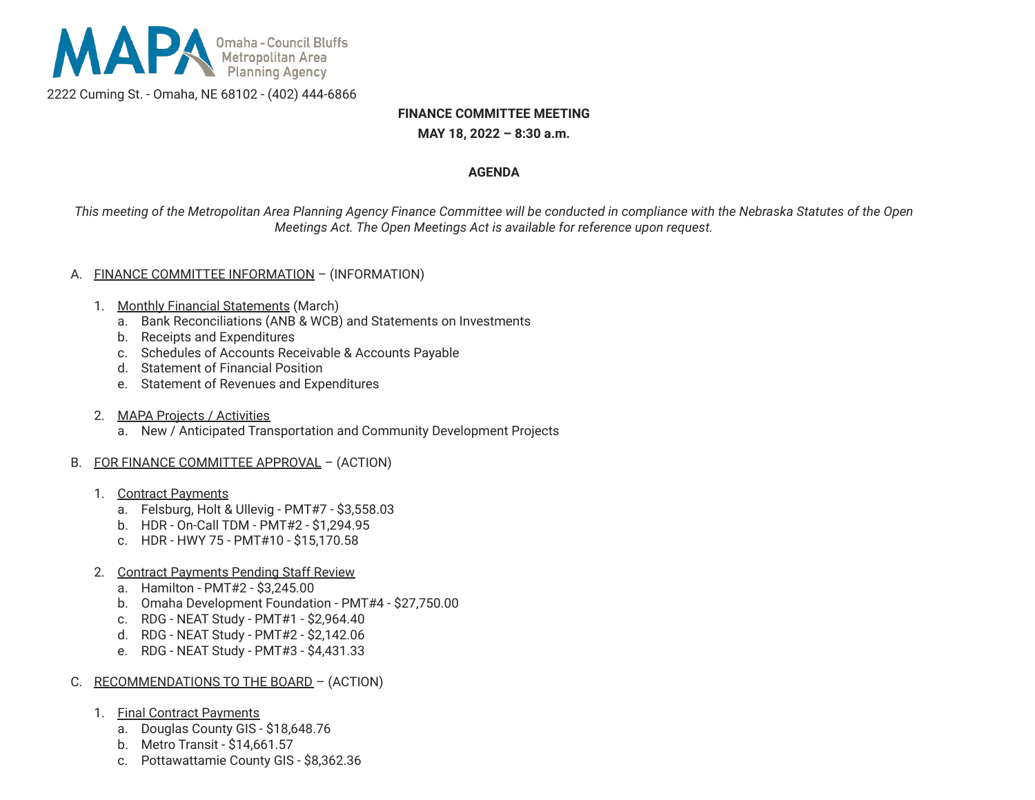

2222 Cuming St. - Omaha, NE 68102 - (402) 444-6866

# **FINANCE COMMITTEE MEETING**

**MAY 18, 2022 – 8:30 a.m.**

#### **AGENDA**

This meeting of the Metropolitan Area Planning Agency Finance Committee will be conducted in compliance with the Nebraska Statutes of the Open *Meetings Act. The Open Meetings Act is available for reference upon request.*

### A. FINANCE COMMITTEE INFORMATION – (INFORMATION)

- 1. Monthly Financial Statements (March)
	- a. Bank Reconciliations (ANB & WCB) and Statements on Investments
	- b. Receipts and Expenditures
	- c. Schedules of Accounts Receivable & Accounts Payable
	- d. Statement of Financial Position
	- e. Statement of Revenues and Expenditures
- 2. MAPA Projects / Activities
	- a. New / Anticipated Transportation and Community Development Projects
- B. FOR FINANCE COMMITTEE APPROVAL (ACTION)
	- 1. Contract Payments
		- a. Felsburg, Holt & Ullevig PMT#7 \$3,558.03
		- b. HDR On-Call TDM PMT#2 \$1,294.95
		- c. HDR HWY 75 PMT#10 \$15,170.58
	- 2. Contract Payments Pending Staff Review
		- a. Hamilton PMT#2 \$3,245.00
		- b. Omaha Development Foundation PMT#4 \$27,750.00
		- c. RDG NEAT Study PMT#1 \$2,964.40
		- d. RDG NEAT Study PMT#2 \$2,142.06
		- e. RDG NEAT Study PMT#3 \$4,431.33
- C. RECOMMENDATIONS TO THE BOARD (ACTION)
	- 1. Final Contract Payments
		- a. Douglas County GIS \$18,648.76
		- b. Metro Transit \$14,661.57
		- c. Pottawattamie County GIS \$8,362.36